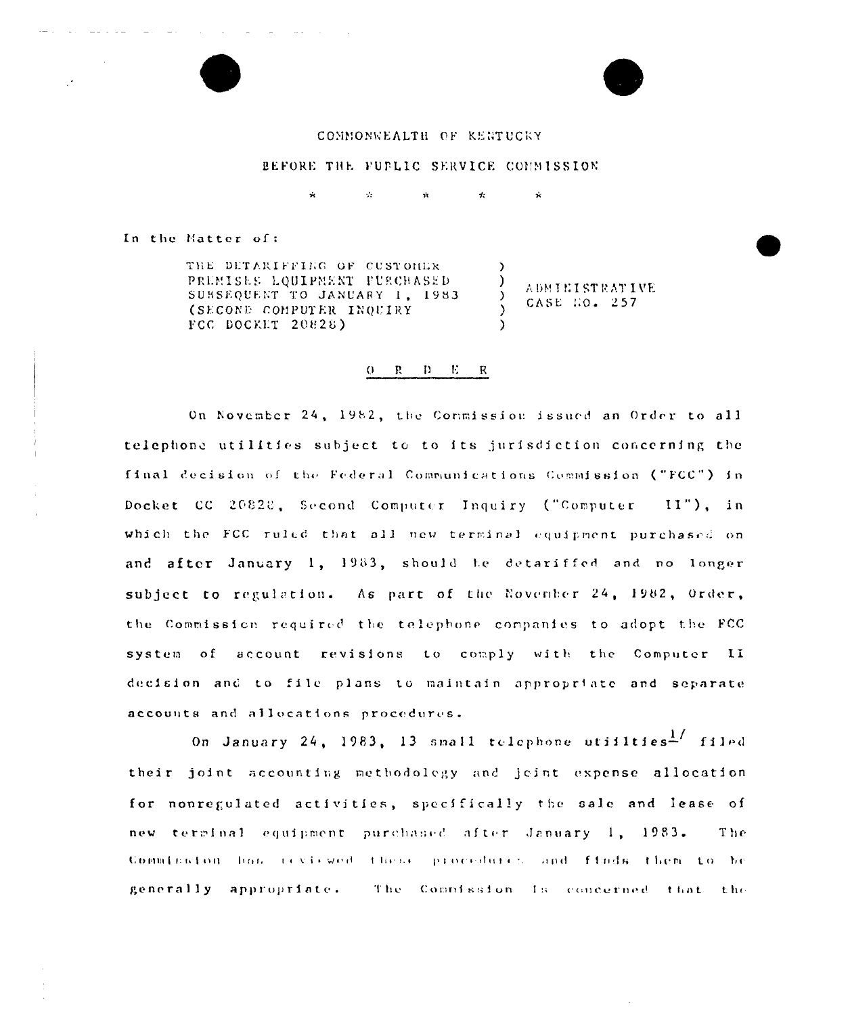## COMMONWEALTH OF KENTUCKY

## BEFORE THE FUPLIC SERVICE COMMISSION

 $\mathcal{L}_\mathbf{r}$  $\mathcal{A}_t$  $\mathbf{r}$ 

In the Matter of:

THE DETARIFFIEG OF CUSTOMER. PREMISES LOUIPNENT PURCHASED SUBSEQUENT TO JANUARY 1, 1983 (SECOND COMPUTER INQUIRY FCC DOCKET 20828)

**ADMINISTRATIVE** CASE HO. 257

 $\dot{\mathbf{x}}$ 

 $\lambda$ 

 $\lambda$ 

 $\lambda$ 

 $\lambda$ 

## $0$  R D E R

On November 24, 1982, the Conmission issued an Order to all telephone utilities subject to to its jurisdiction concerning the final decision of the Federal Communications Commission ("FCC") in Docket CC 20828, Second Computer Inquiry ("Computer II"), in which the FCC ruled that all new terminal equipment purchased on and after January 1, 1983, should be detariffed and no longer subject to regulation. As part of the November 24, 1982, Order, the Commission required the telephone companies to adopt the FCC system of account revisions to comply with the Computer II decision and to file plans to maintain appropriate and separate accounts and allocations procedures.

On January 24, 1983, 13 small telephone utilities<sup>1</sup>/ filed their joint accounting methodology and joint expense allocation for nonregulated activities, specifically the sale and lease of new terminal equipment purchased after January 1, 1983. The Commission has reviewed these procedures and finds them to be generally appropriate. The Compission Is concerned that the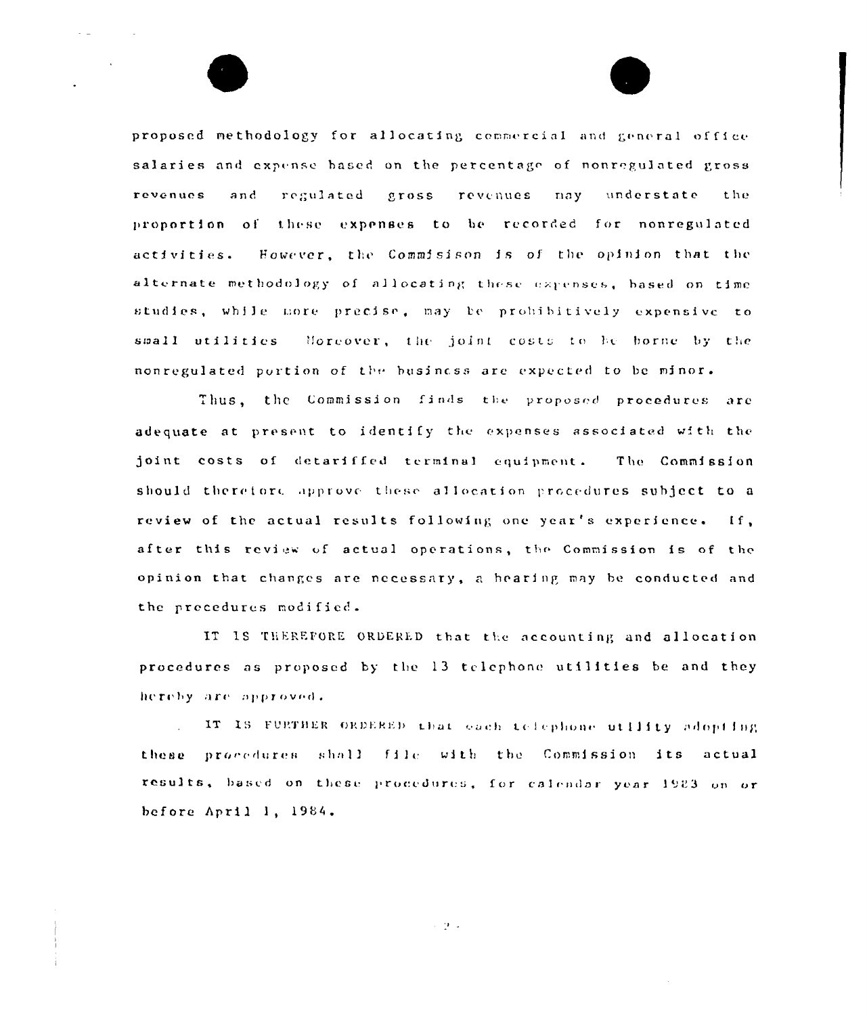proposed methodology for allocating commercial and general office salaries and expense based on the percentage of nonregulated gross regulated gross revenues may understate revenues and the proportion of these expenses to be recorded for nonregulated However, the Commisison is of the opinion that the activities. alternate methodology of allocating these expenses, based on time studies, while more precise, may be prohibitively expensive to small utilities Moreover, the joint costs to be borne by the nonregulated portion of the business are expected to be minor.

Thus, the Commission finds the proposed procedures are adequate at present to identify the expenses associated with the joint costs of detariffed terminal equipment. The Commission should therefore approve these allocation procedures subject to a review of the actual results following one year's experience. If, after this review of actual operations, the Commission is of the opinion that changes are necessary, a hearing may be conducted and the precedures modified.

IT IS THEREFORE ORDERED that the accounting and allocation procedures as proposed by the 13 telephone utilities be and they hereby are approved.

IT IS FURTHER ORDERED that each telephone utility adopting these procedures shall file with the Commission its actual results, based on these procedures, for calendar year 1983 on or before April 1, 1984.

 $\sim$  9  $\times$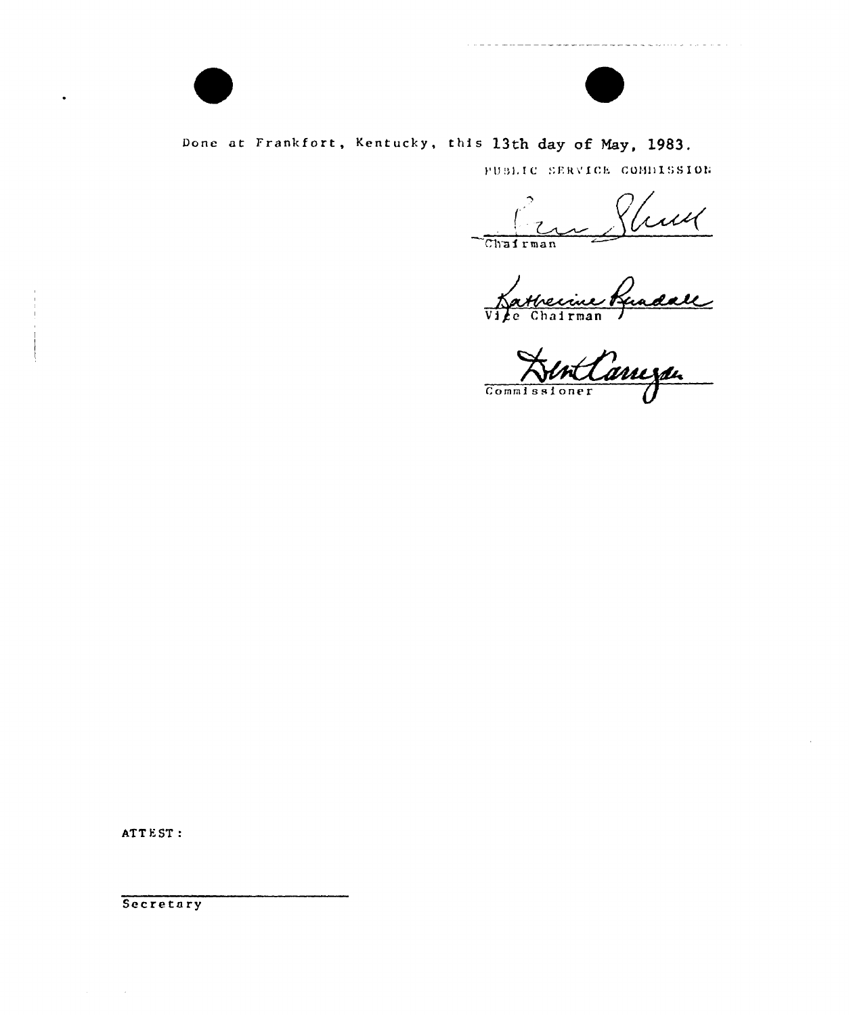

## Done at Frankfort, Kentucky, this 13th day of May, 1983.

PUBLIC SERVICE COMBISSION

Arman Sluit<br>Jeman Suadall Chairman

Commissioner

ATTEST:

Secretary